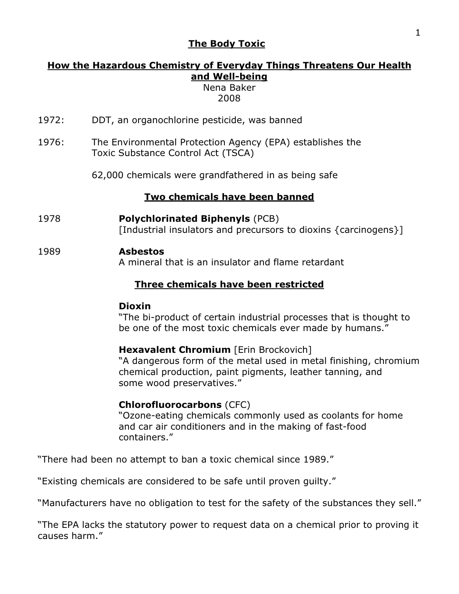#### **The Body Toxic**

### **How the Hazardous Chemistry of Everyday Things Threatens Our Health and Well-being**

Nena Baker 2008

- 1972: DDT, an organochlorine pesticide, was banned
- 1976: The Environmental Protection Agency (EPA) establishes the Toxic Substance Control Act (TSCA)
	- 62,000 chemicals were grandfathered in as being safe

#### **Two chemicals have been banned**

1978 **Polychlorinated Biphenyls** (PCB) [Industrial insulators and precursors to dioxins {carcinogens}]

#### 1989 **Asbestos**

A mineral that is an insulator and flame retardant

### **Three chemicals have been restricted**

#### **Dioxin**

"The bi-product of certain industrial processes that is thought to be one of the most toxic chemicals ever made by humans."

#### **Hexavalent Chromium** [Erin Brockovich]

"A dangerous form of the metal used in metal finishing, chromium chemical production, paint pigments, leather tanning, and some wood preservatives."

#### **Chlorofluorocarbons** (CFC)

"Ozone-eating chemicals commonly used as coolants for home and car air conditioners and in the making of fast-food containers."

"There had been no attempt to ban a toxic chemical since 1989."

"Existing chemicals are considered to be safe until proven guilty."

"Manufacturers have no obligation to test for the safety of the substances they sell."

"The EPA lacks the statutory power to request data on a chemical prior to proving it causes harm."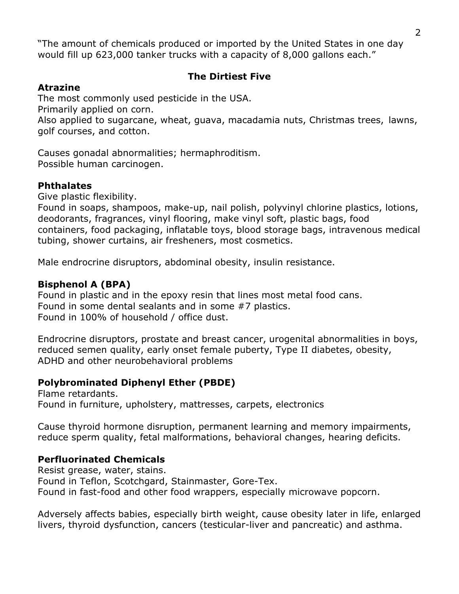"The amount of chemicals produced or imported by the United States in one day would fill up 623,000 tanker trucks with a capacity of 8,000 gallons each."

### **The Dirtiest Five**

#### **Atrazine**

The most commonly used pesticide in the USA.

Primarily applied on corn.

Also applied to sugarcane, wheat, guava, macadamia nuts, Christmas trees, lawns, golf courses, and cotton.

Causes gonadal abnormalities; hermaphroditism. Possible human carcinogen.

### **Phthalates**

Give plastic flexibility.

Found in soaps, shampoos, make-up, nail polish, polyvinyl chlorine plastics, lotions, deodorants, fragrances, vinyl flooring, make vinyl soft, plastic bags, food containers, food packaging, inflatable toys, blood storage bags, intravenous medical tubing, shower curtains, air fresheners, most cosmetics.

Male endrocrine disruptors, abdominal obesity, insulin resistance.

### **Bisphenol A (BPA)**

Found in plastic and in the epoxy resin that lines most metal food cans. Found in some dental sealants and in some #7 plastics. Found in 100% of household / office dust.

Endrocrine disruptors, prostate and breast cancer, urogenital abnormalities in boys, reduced semen quality, early onset female puberty, Type II diabetes, obesity, ADHD and other neurobehavioral problems

### **Polybrominated Diphenyl Ether (PBDE)**

Flame retardants. Found in furniture, upholstery, mattresses, carpets, electronics

Cause thyroid hormone disruption, permanent learning and memory impairments, reduce sperm quality, fetal malformations, behavioral changes, hearing deficits.

### **Perfluorinated Chemicals**

Resist grease, water, stains. Found in Teflon, Scotchgard, Stainmaster, Gore-Tex. Found in fast-food and other food wrappers, especially microwave popcorn.

Adversely affects babies, especially birth weight, cause obesity later in life, enlarged livers, thyroid dysfunction, cancers (testicular-liver and pancreatic) and asthma.